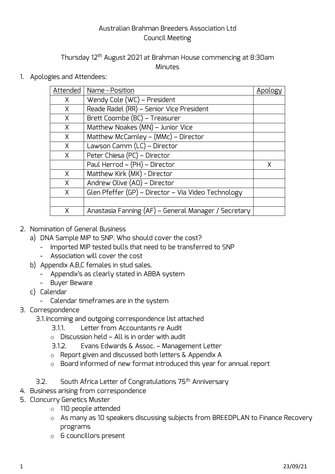## Australian Brahman Breeders Association Ltd Council Meeting

## Thursday 12<sup>th</sup> August 2021 at Brahman House commencing at 8:30am **Minutes**

1. Apologies and Attendees:

| Attended | Name - Position                                      | Apology |
|----------|------------------------------------------------------|---------|
| $\chi$   | Wendy Cole (WC) - President                          |         |
| $\chi$   | Reade Radel (RR) - Senior Vice President             |         |
| $\times$ | Brett Coombe (BC) - Treasurer                        |         |
| $\chi$   | Matthew Noakes (MN) - Junior Vice                    |         |
| $\chi$   | Matthew McCamley - (MMc) - Director                  |         |
| $\times$ | Lawson Camm (LC) - Director                          |         |
| $\times$ | Peter Chiesa (PC) - Director                         |         |
|          | Paul Herrod - (PH) - Director                        | X       |
| $\times$ | Matthew Kirk (MK) - Director                         |         |
| $\chi$   | Andrew Olive (AO) - Director                         |         |
| X        | Glen Pfeffer (GP) - Director - Via Video Technology  |         |
|          |                                                      |         |
| χ        | Anastasia Fanning (AF) – General Manager / Secretary |         |

- 2. Nomination of General Business
	- a) DNA Sample MIP to SNP. Who should cover the cost?
		- Imported MIP tested bulls that need to be transferred to SNP
		- Association will cover the cost
	- b) Appendix A,B,C females in stud sales.
		- Appendix's as clearly stated in ABBA system
		- Buyer Beware
	- c) Calendar
		- Calendar timeframes are in the system
- 3. Correspondence
	- 3.1.Incoming and outgoing correspondence list attached
		- 3.1.1. Letter from Accountants re Audit
		- o Discussion held All is in order with audit
		- 3.1.2. Evans Edwards & Assoc. Management Letter
		- o Report given and discussed both letters & Appendix A
		- o Board informed of new format introduced this year for annual report
	- 3.2. South Africa Letter of Congratulations 75<sup>th</sup> Anniversary
- 4. Business arising from correspondence
- 5. Cloncurry Genetics Muster
	- o 110 people attended
	- o As many as 10 speakers discussing subjects from BREEDPLAN to Finance Recovery programs
	- o 6 councillors present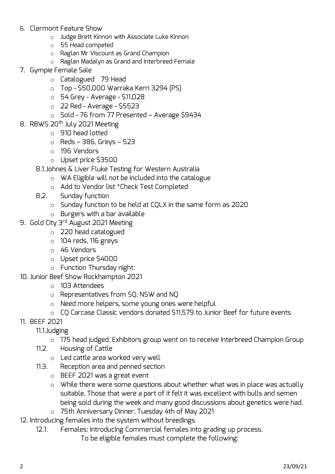- 6. Clermont Feature Show
	- o Judge Brett Kinnon with Associate Luke Kinnon
	- o 55 Head competed
	- o Raglan Mr Viscount as Grand Champion
	- o Raglan Madalyn as Grand and Interbreed Female
- 7. Gympie Female Sale
	- o Catalogued 79 Head
	- o Top \$50,000 Warraka Kerri 3294 (PS)
	- $\circ$  54 Grey Average \$11,028
	- $\circ$  22 Red Average \$5523
	- o Sold 76 from 77 Presented Average \$9434
- 8. RBWS 20<sup>th</sup> July 2021 Meeting
	- o 910 head lotted
	- $\circ$  Reds 386, Greys 523
	- o 196 Vendors
	- o Upset price \$3500
	- 8.1.Johnes & Liver Fluke Testing for Western Australia
		- o WA Eligible will not be included into the catalogue
		- o Add to Vendor list \*Check Test Completed
	- 8.2. Sunday function
		- o Sunday function to be held at CQLX in the same form as 2020
		- $\circ$  Burgers with a bar available
- 9. Gold City 3<sup>rd</sup> August 2021 Meeting
	- o 220 head catalogued
	- $\circ$  104 reds, 116 greys
	- o 46 Vendors
	- o Upset price \$4000
	- o Function Thursday night:
- 10. Junior Beef Show Rockhampton 2021
	- o 103 Attendees
	- o Representatives from SQ, NSW and NQ
	- o Need more helpers, some young ones were helpful
	- o CQ Carcase Classic vendors donated \$11,579 to Junior Beef for future events
- 11. BEEF 2021

## 11.1.Judging

- o 175 head judged. Exhibitors group went on to receive Interbreed Champion Group
- 11.2. Housing of Cattle
	- o Led cattle area worked very well
- 11.3. Reception area and penned section
	- o BEEF 2021 was a great event
	- o While there were some questions about whether what was in place was actually suitable. Those that were a part of it felt it was excellent with bulls and semen being sold during the week and many good discussions about genetics were had.
	- o 75th Anniversary Dinner, Tuesday 4th of May 2021
- 12. Introducing females into the system without breedings
	- 12.1. Females: Introducing Commercial females into grading up process.
		- To be eligible females must complete the following: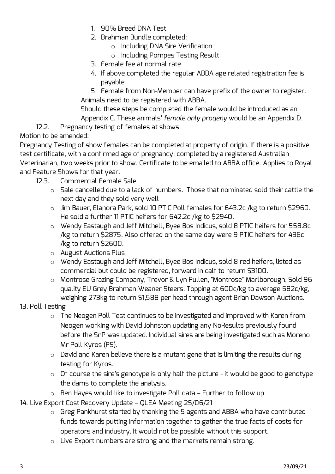- 1. 90% Breed DNA Test
- 2. Brahman Bundle completed:
	- o Including DNA Sire Verification
	- o Including Pompes Testing Result
- 3. Female fee at normal rate
- 4. If above completed the regular ABBA age related registration fee is payable

5. Female from Non-Member can have prefix of the owner to register. Animals need to be registered with ABBA.

Should these steps be completed the female would be introduced as an Appendix C. These animals' *female only progeny* would be an Appendix D.

12.2. Pregnancy testing of females at shows

Motion to be amended:

Pregnancy Testing of show females can be completed at property of origin. If there is a positive test certificate, with a confirmed age of pregnancy, completed by a registered Australian Veterinarian, two weeks prior to show. Certificate to be emailed to ABBA office. Applies to Royal and Feature Shows for that year.

- 12.3. Commercial Female Sale
	- o Sale cancelled due to a lack of numbers. Those that nominated sold their cattle the next day and they sold very well
	- o Jim Bauer, Elanora Park, sold 10 PTIC Poll females for 643.2c /kg to return \$2960. He sold a further 11 PTIC heifers for 642.2c /kg to \$2940.
	- o Wendy Eastaugh and Jeff Mitchell, Byee Bos Indicus, sold 8 PTIC heifers for 558.8c /kg to return \$2875. Also offered on the same day were 9 PTIC heifers for 496c /kg to return \$2600.
	- o August Auctions Plus
	- o Wendy Eastaugh and Jeff Mitchell, Byee Bos Indicus, sold 8 red heifers, listed as commercial but could be registered, forward in calf to return \$3100.
	- o Montrose Grazing Company, Trevor & Lyn Pullen, "Montrose" Marlborough, Sold 96 quality EU Grey Brahman Weaner Steers. Topping at 600c/kg to average 582c/kg, weighing 273kg to return \$1,588 per head through agent Brian Dawson Auctions.

## 13. Poll Testing

- o The Neogen Poll Test continues to be investigated and improved with Karen from Neogen working with David Johnston updating any NoResults previously found before the SnP was updated. Individual sires are being investigated such as Moreno Mr Poll Kyros (PS).
- o David and Karen believe there is a mutant gene that is limiting the results during testing for Kyros.
- o Of course the sire's genotype is only half the picture it would be good to genotype the dams to complete the analysis.
- o Ben Hayes would like to investigate Poll data Further to follow up
- 14. Live Export Cost Recovery Update QLEA Meeting 25/06/21
	- o Greg Pankhurst started by thanking the 5 agents and ABBA who have contributed funds towards putting information together to gather the true facts of costs for operators and industry. It would not be possible without this support.
	- o Live Export numbers are strong and the markets remain strong.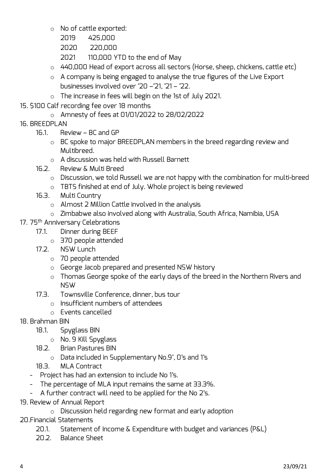- o No of cattle exported:
	- 2019 425,000
	- 2020 220,000
	- 2021 110,000 YTD to the end of May
- o 440,000 Head of export across all sectors (Horse, sheep, chickens, cattle etc)
- o A company is being engaged to analyse the true figures of the Live Export businesses involved over '20 –'21, '21 – '22.
- o The increase in fees will begin on the 1st of July 2021.
- 15. \$100 Calf recording fee over 18 months
	- o Amnesty of fees at 01/01/2022 to 28/02/2022
- 16. BREEDPLAN
	- 16.1. Review BC and GP
		- o BC spoke to major BREEDPLAN members in the breed regarding review and Multibreed.
		- o A discussion was held with Russell Barnett
	- 16.2. Review & Multi Breed
		- o Discussion, we told Russell we are not happy with the combination for multi-breed
		- o TBTS finished at end of July. Whole project is being reviewed
	- 16.3. Multi Country
		- o Almost 2 Million Cattle involved in the analysis
		- o Zimbabwe also involved along with Australia, South Africa, Namibia, USA
- 17. 75<sup>th</sup> Anniversary Celebrations
	- 17.1. Dinner during BEEF
		- o 370 people attended
	- 17.2. NSW Lunch
		- o 70 people attended
		- o George Jacob prepared and presented NSW history
		- o Thomas George spoke of the early days of the breed in the Northern Rivers and NSW
	- 17.3. Townsville Conference, dinner, bus tour
		- o Insufficient numbers of attendees
		- o Events cancelled
- 18. Brahman BIN
	- 18.1. Spyglass BIN
		- o No. 9 Kill Spyglass
	- 18.2. Brian Pastures BIN
		- o Data included in Supplementary No.9', 0's and 1's
	- 18.3. MLA Contract
	- Project has had an extension to include No 1's.
	- The percentage of MLA input remains the same at 33.3%.
	- A further contract will need to be applied for the No 2's.
- 19. Review of Annual Report
	- o Discussion held regarding new format and early adoption
- 20.Financial Statements
	- 20.1. Statement of Income & Expenditure with budget and variances (P&L)
	- 20.2. Balance Sheet